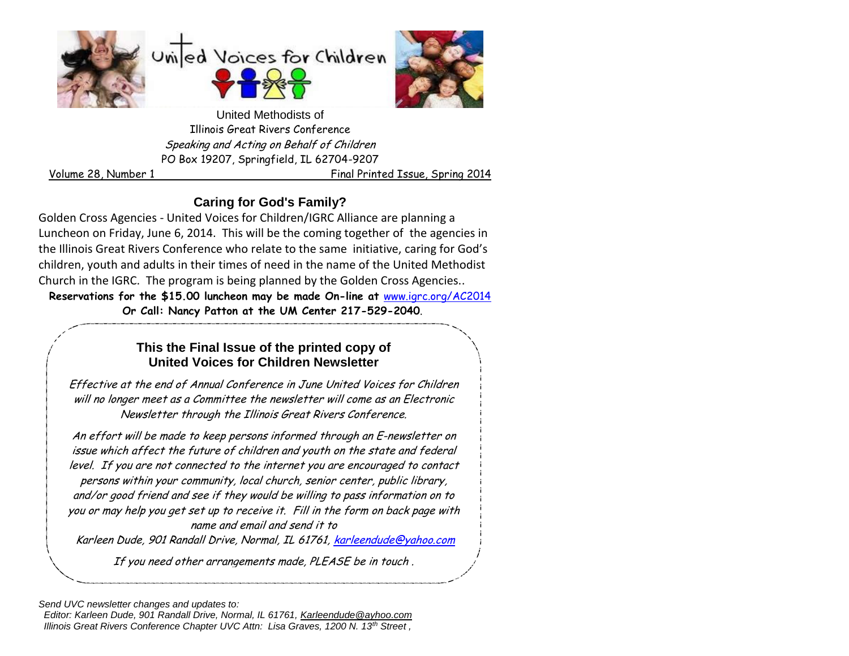





United Methodists of Illinois Great Rivers Conference Speaking and Acting on Behalf of Children PO Box 19207, Springfield, IL 62704-9207

Volume 28, Number 1 Final Printed Issue, Spring 2014

## **Caring for God's Family?**

Golden Cross Agencies - United Voices for Children/IGRC Alliance are planning a Luncheon on Friday, June 6, 2014. This will be the coming together of the agencies in the Illinois Great Rivers Conference who relate to the same initiative, caring for God's children, youth and adults in their times of need in the name of the United Methodist Church in the IGRC. The program is being planned by the Golden Cross Agencies..

**Reservations for the \$15.00 luncheon may be made On-line at** [www.igrc.org/AC2014](http://www.igrc.org/AC2014)  **Or Call: Nancy Patton at the UM Center 217-529-2040**.

## . **This the Final Issue of the printed copy of United Voices for Children Newsletter**

Effective at the end of Annual Conference in June United Voices for Children will no longer meet as a Committee the newsletter will come as an Electronic Newsletter through the Illinois Great Rivers Conference.

An effort will be made to keep persons informed through an E-newsletter on issue which affect the future of children and youth on the state and federal level. If you are not connected to the internet you are encouraged to contact persons within your community, local church, senior center, public library, and/or good friend and see if they would be willing to pass information on to you or may help you get set up to receive it. Fill in the form on back page with name and email and send it to

Karleen Dude, 901 Randall Drive, Normal, IL 61761, [karleendude@yahoo.com](mailto:karleendude@yahoo.com)

If you need other arrangements made, PLEASE be in touch .

*Send UVC newsletter changes and updates to:* 

 *Editor: Karleen Dude, 901 Randall Drive, Normal, IL 61761, [Karleendude@ayhoo.com](mailto:Karleendude@ayhoo.com) Illinois Great Rivers Conference Chapter UVC Attn: Lisa Graves, 1200 N. 13th Street ,*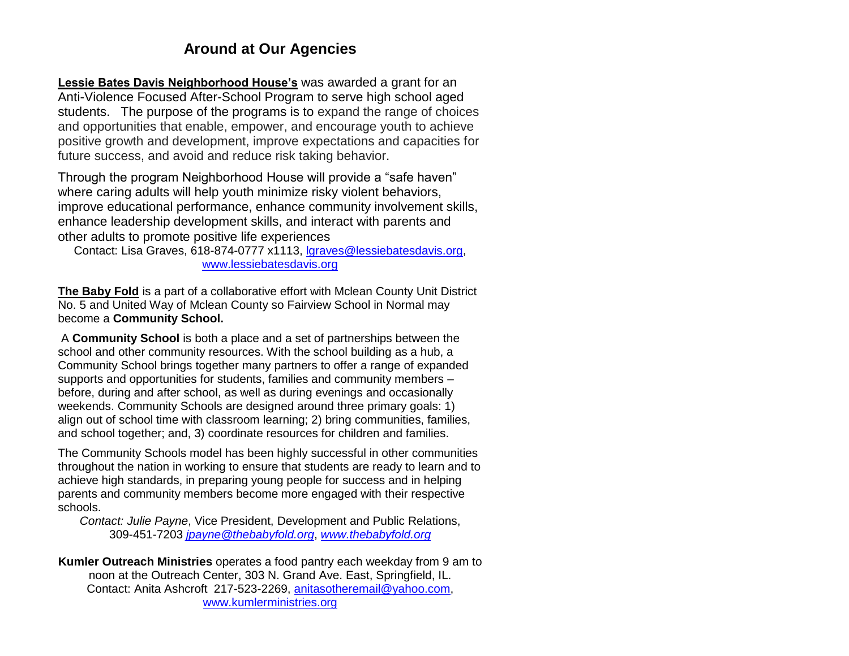## **Around at Our Agencies**

**Lessie Bates Davis Neighborhood House's** was awarded a grant for an Anti-Violence Focused After-School Program to serve high school aged students. The purpose of the programs is to expand the range of choices and opportunities that enable, empower, and encourage youth to achieve positive growth and development, improve expectations and capacities for future success, and avoid and reduce risk taking behavior.

Through the program Neighborhood House will provide a "safe haven" where caring adults will help youth minimize risky violent behaviors, improve educational performance, enhance community involvement skills, enhance leadership development skills, and interact with parents and other adults to promote positive life experiences

Contact: Lisa Graves, 618-874-0777 x1113, [lgraves@lessiebatesdavis.org,](mailto:lgraves@lessiebatesdavis.org) [www.lessiebatesdavis.org](http://www.lessiebatesdavis.org/)

**The Baby Fold** is a part of a collaborative effort with Mclean County Unit District No. 5 and United Way of Mclean County so Fairview School in Normal may become a **Community School.** 

A **Community School** is both a place and a set of partnerships between the school and other community resources. With the school building as a hub, a Community School brings together many partners to offer a range of expanded supports and opportunities for students, families and community members – before, during and after school, as well as during evenings and occasionally weekends. Community Schools are designed around three primary goals: 1) align out of school time with classroom learning; 2) bring communities, families, and school together; and, 3) coordinate resources for children and families.

The Community Schools model has been highly successful in other communities throughout the nation in working to ensure that students are ready to learn and to achieve high standards, in preparing young people for success and in helping parents and community members become more engaged with their respective schools.

*Contact: Julie Payne*, Vice President, Development and Public Relations, 309-451-7203 *[jpayne@thebabyfold.org](mailto:jpayne@thebabyfold.org)*, *[www.thebabyfold.org](http://www.thebabyfold.org/)*

**Kumler Outreach Ministries** operates a food pantry each weekday from 9 am to noon at the Outreach Center, 303 N. Grand Ave. East, Springfield, IL. Contact: Anita Ashcroft 217-523-2269, [anitasotheremail@yahoo.com,](mailto:anitasotheremail@yahoo.com) [www.kumlerministries.org](http://www.kumlerministries.org/)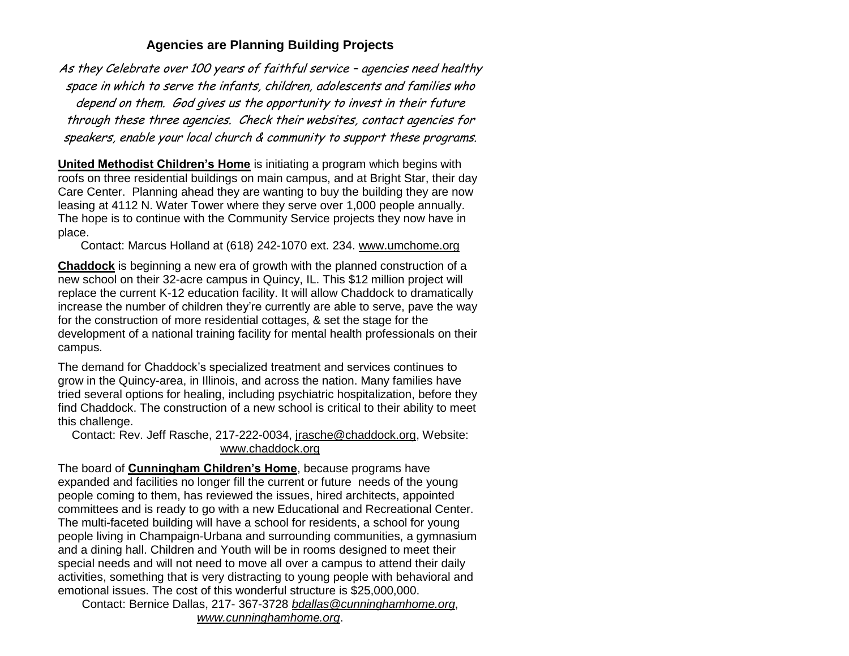#### **Agencies are Planning Building Projects**

As they Celebrate over 100 years of faithful service – agencies need healthy space in which to serve the infants, children, adolescents and families who depend on them. God gives us the opportunity to invest in their future through these three agencies. Check their websites, contact agencies for speakers, enable your local church & community to support these programs.

**United Methodist Children's Home** is initiating a program which begins with roofs on three residential buildings on main campus, and at Bright Star, their day Care Center. Planning ahead they are wanting to buy the building they are now leasing at 4112 N. Water Tower where they serve over 1,000 people annually. The hope is to continue with the Community Service projects they now have in place.

Contact: Marcus Holland at (618) 242-1070 ext. 234. [www.umchome.org](http://www.umchome.org/)

**Chaddock** is beginning a new era of growth with the planned construction of a new school on their 32-acre campus in Quincy, IL. This \$12 million project will replace the current K-12 education facility. It will allow Chaddock to dramatically increase the number of children they're currently are able to serve, pave the way for the construction of more residential cottages, & set the stage for the development of a national training facility for mental health professionals on their campus.

The demand for Chaddock's specialized treatment and services continues to grow in the Quincy-area, in Illinois, and across the nation. Many families have tried several options for healing, including psychiatric hospitalization, before they find Chaddock. The construction of a new school is critical to their ability to meet this challenge.

Contact: Rev. Jeff Rasche, 217-222-0034, [jrasche@chaddock.org,](mailto:jrasche@chaddock.org) Website: [www.chaddock.org](http://www.chaddock.org/)

The board of **Cunningham Children's Home**, because programs have expanded and facilities no longer fill the current or future needs of the young people coming to them, has reviewed the issues, hired architects, appointed committees and is ready to go with a new Educational and Recreational Center. The multi-faceted building will have a school for residents, a school for young people living in Champaign-Urbana and surrounding communities, a gymnasium and a dining hall. Children and Youth will be in rooms designed to meet their special needs and will not need to move all over a campus to attend their daily activities, something that is very distracting to young people with behavioral and emotional issues. The cost of this wonderful structure is \$25,000,000.

Contact: Bernice Dallas, 217- 367-3728 *[bdallas@cunninghamhome.org](mailto:bdallas@cunninghamhome.org)*, *[www.cunninghamhome.org](http://www.cunninghamhome.org/)*.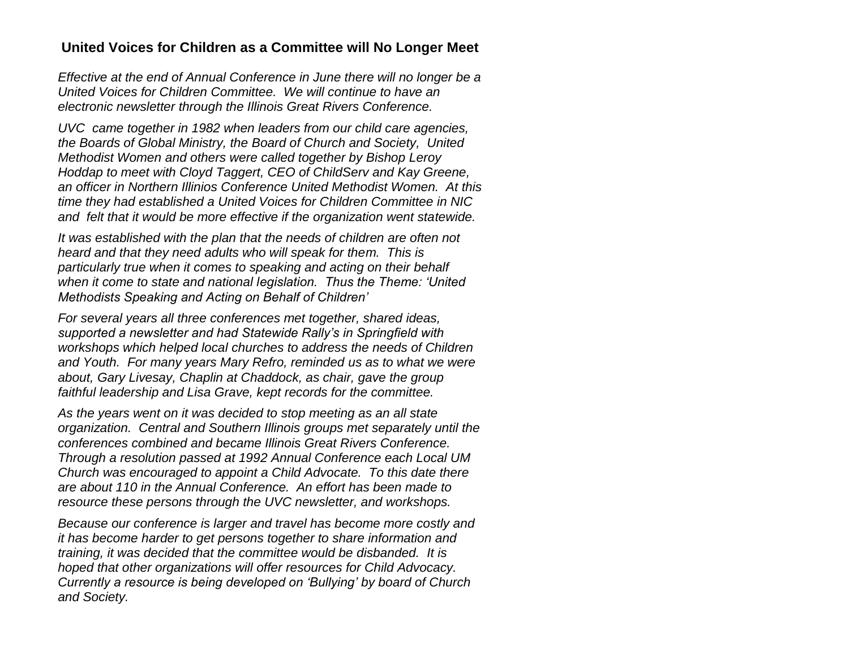### **United Voices for Children as a Committee will No Longer Meet**

*Effective at the end of Annual Conference in June there will no longer be a United Voices for Children Committee. We will continue to have an electronic newsletter through the Illinois Great Rivers Conference.*

*UVC came together in 1982 when leaders from our child care agencies, the Boards of Global Ministry, the Board of Church and Society, United Methodist Women and others were called together by Bishop Leroy Hoddap to meet with Cloyd Taggert, CEO of ChildServ and Kay Greene, an officer in Northern Illinios Conference United Methodist Women. At this time they had established a United Voices for Children Committee in NIC and felt that it would be more effective if the organization went statewide.*

*It was established with the plan that the needs of children are often not heard and that they need adults who will speak for them. This is particularly true when it comes to speaking and acting on their behalf when it come to state and national legislation. Thus the Theme: 'United Methodists Speaking and Acting on Behalf of Children'*

*For several years all three conferences met together, shared ideas, supported a newsletter and had Statewide Rally's in Springfield with workshops which helped local churches to address the needs of Children and Youth. For many years Mary Refro, reminded us as to what we were about, Gary Livesay, Chaplin at Chaddock, as chair, gave the group faithful leadership and Lisa Grave, kept records for the committee.*

*As the years went on it was decided to stop meeting as an all state organization. Central and Southern Illinois groups met separately until the conferences combined and became Illinois Great Rivers Conference. Through a resolution passed at 1992 Annual Conference each Local UM Church was encouraged to appoint a Child Advocate. To this date there are about 110 in the Annual Conference. An effort has been made to resource these persons through the UVC newsletter, and workshops.*

*Because our conference is larger and travel has become more costly and it has become harder to get persons together to share information and training, it was decided that the committee would be disbanded. It is hoped that other organizations will offer resources for Child Advocacy. Currently a resource is being developed on 'Bullying' by board of Church and Society.*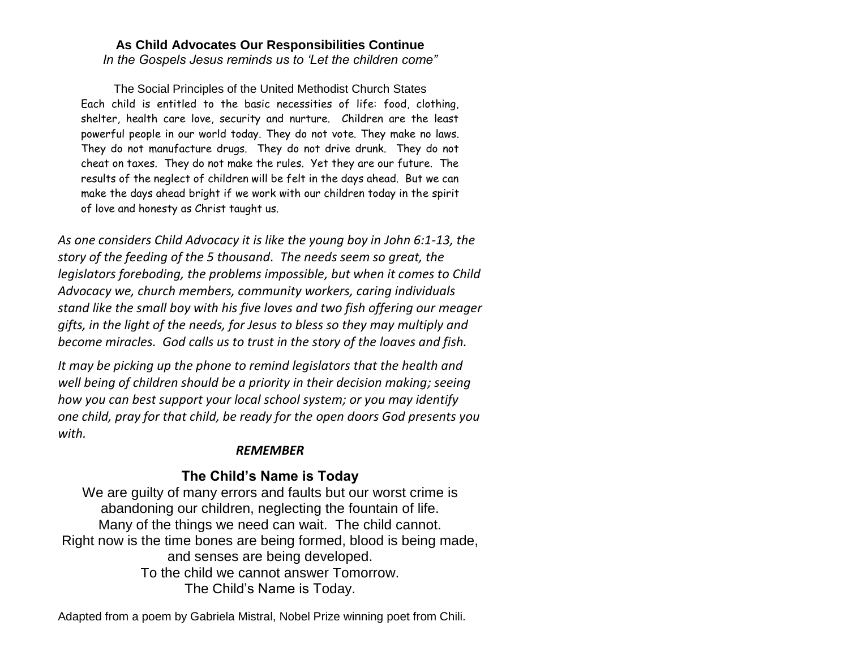#### **As Child Advocates Our Responsibilities Continue** *In the Gospels Jesus reminds us to 'Let the children come"*

The Social Principles of the United Methodist Church States Each child is entitled to the basic necessities of life: food, clothing, shelter, health care love, security and nurture. Children are the least powerful people in our world today. They do not vote. They make no laws. They do not manufacture drugs. They do not drive drunk. They do not cheat on taxes. They do not make the rules. Yet they are our future. The results of the neglect of children will be felt in the days ahead. But we can make the days ahead bright if we work with our children today in the spirit of love and honesty as Christ taught us.

*As one considers Child Advocacy it is like the young boy in John 6:1-13, the story of the feeding of the 5 thousand. The needs seem so great, the legislators foreboding, the problems impossible, but when it comes to Child Advocacy we, church members, community workers, caring individuals stand like the small boy with his five loves and two fish offering our meager gifts, in the light of the needs, for Jesus to bless so they may multiply and become miracles. God calls us to trust in the story of the loaves and fish.* 

*It may be picking up the phone to remind legislators that the health and well being of children should be a priority in their decision making; seeing how you can best support your local school system; or you may identify one child, pray for that child, be ready for the open doors God presents you with.* 

#### *REMEMBER*

### **The Child's Name is Today**

We are guilty of many errors and faults but our worst crime is abandoning our children, neglecting the fountain of life. Many of the things we need can wait. The child cannot. Right now is the time bones are being formed, blood is being made, and senses are being developed. To the child we cannot answer Tomorrow. The Child's Name is Today.

Adapted from a poem by Gabriela Mistral, Nobel Prize winning poet from Chili.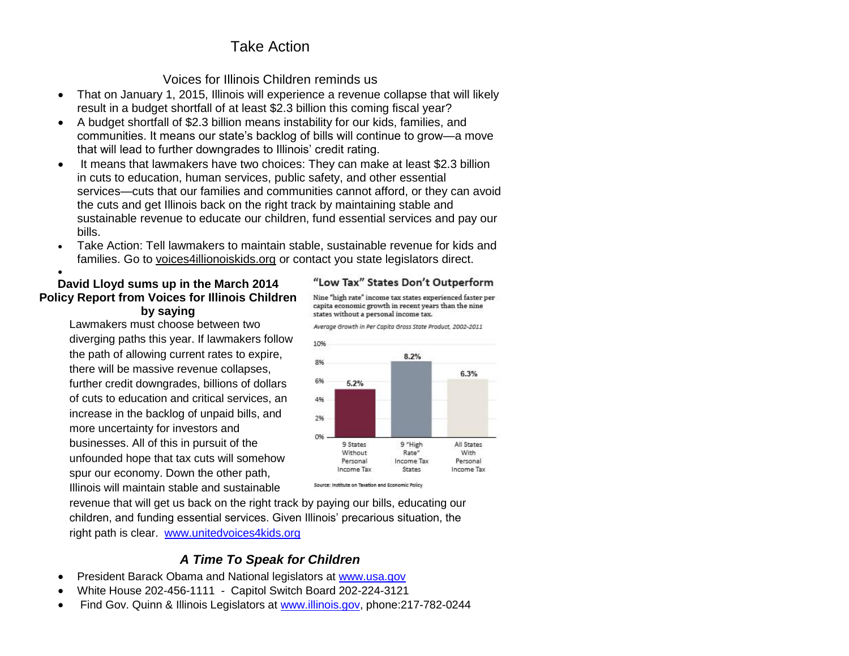# Take Action

### Voices for Illinois Children reminds us

- That on January 1, 2015, Illinois will experience a revenue collapse that will likely result in a budget shortfall of at least \$2.3 billion this coming fiscal year?
- A budget shortfall of \$2.3 billion means instability for our kids, families, and communities. It means our state's backlog of bills will continue to grow—a move that will lead to further downgrades to Illinois' credit rating.
- It means that lawmakers have two choices: They can make at least \$2.3 billion in cuts to education, human services, public safety, and other essential services—cuts that our families and communities cannot afford, or they can avoid the cuts and get Illinois back on the right track by maintaining stable and sustainable revenue to educate our children, fund essential services and pay our bills.
- Take Action: Tell lawmakers to maintain stable, sustainable revenue for kids and families. Go to voices4illionoiskids.org or contact you state legislators direct.

#### $\bullet$ **David Lloyd sums up in the March 2014 Policy Report from Voices for Illinois Children by saying**

Lawmakers must choose between two diverging paths this year. If lawmakers follow the path of allowing current rates to expire, there will be massive revenue collapses, further credit downgrades, billions of dollars of cuts to education and critical services, an increase in the backlog of unpaid bills, and more uncertainty for investors and businesses. All of this in pursuit of the unfounded hope that tax cuts will somehow spur our economy. Down the other path, Illinois will maintain stable and sustainable



capita economic growth in recent years than the nine Average Growth in Per Capita Gross State Product, 2002-2011

states without a personal income tax.

Source: Institute on Taxation and Economic Policy

"Low Tax" States Don't Outperform Nine "high rate" income tax states experienced faster per

revenue that will get us back on the right track by paying our bills, educating our children, and funding essential services. Given Illinois' precarious situation, the right path is clear. [www.unitedvoices4kids.org](http://www.unitedvoices4kids.org/)

### *A Time To Speak for Children*

- President Barack Obama and National legislators at [www.usa.gov](http://www.usa.gov/)
- White House 202-456-1111 Capitol Switch Board 202-224-3121
- Find Gov. Quinn & Illinois Legislators at [www.illinois.gov,](http://www.illinois.gov/) phone:217-782-0244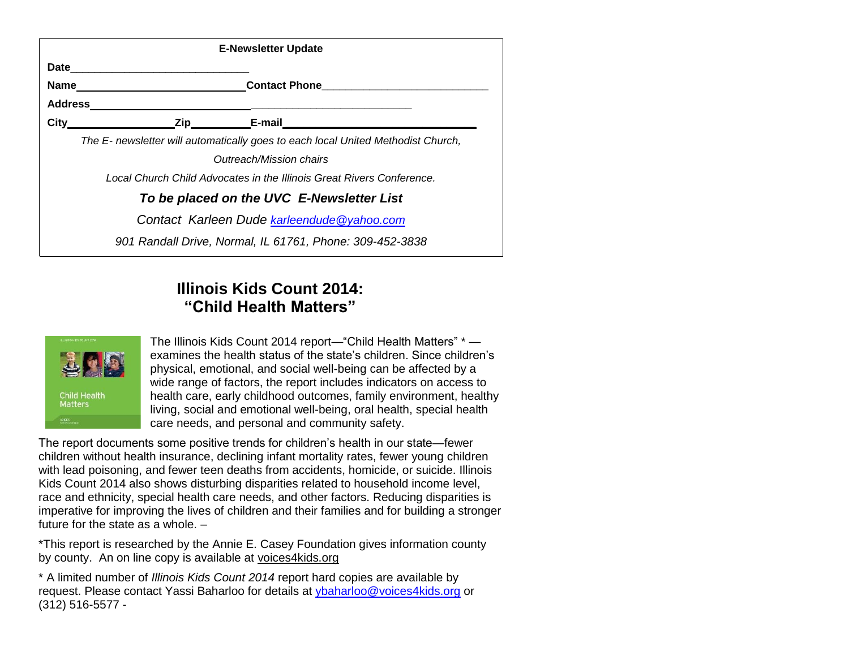|         | <b>E-Newsletter Update</b>                                                       |
|---------|----------------------------------------------------------------------------------|
|         |                                                                                  |
| Name    |                                                                                  |
| Address |                                                                                  |
| City    | <b>E-mail</b>                                                                    |
|         | The E- newsletter will automatically goes to each local United Methodist Church, |
|         | Outreach/Mission chairs                                                          |
|         | Local Church Child Advocates in the Illinois Great Rivers Conference.            |
|         | To be placed on the UVC E-Newsletter List                                        |
|         | Contact Karleen Dude karleendude@yahoo.com                                       |
|         | 901 Randall Drive, Normal, IL 61761, Phone: 309-452-3838                         |

# **[Illinois Kids Count 2014:](http://www.voices4kids.org/our-priorities/kids-count/illinois-kids-count-data-book/illinois-kids-count-2014/) ["Child Health Matters"](http://www.voices4kids.org/our-priorities/kids-count/illinois-kids-count-data-book/illinois-kids-count-2014/)**



The Illinois Kids Count 2014 report—"Child Health Matters" \* examines the health status of the state's children. Since children's physical, emotional, and social well-being can be affected by a wide range of factors, the report includes indicators on access to health care, early childhood outcomes, family environment, healthy living, social and emotional well-being, oral health, special health care needs, and personal and community safety.

The report documents some positive trends for children's health in our state—fewer children without health insurance, declining infant mortality rates, fewer young children with lead poisoning, and fewer teen deaths from accidents, homicide, or suicide. Illinois Kids Count 2014 also shows disturbing disparities related to household income level, race and ethnicity, special health care needs, and other factors. Reducing disparities is imperative for improving the lives of children and their families and for building a stronger future for the state as a whole. –

\*This report is researched by the Annie E. Casey Foundation gives information county by county. An on line copy is available at voices4kids.org

\* A limited number of *Illinois Kids Count 2014* report hard copies are available by request. Please contact Yassi Baharloo for details at [ybaharloo@voices4kids.org](mailto:ybaharloo@voices4kids.org) or (312) 516-5577 -